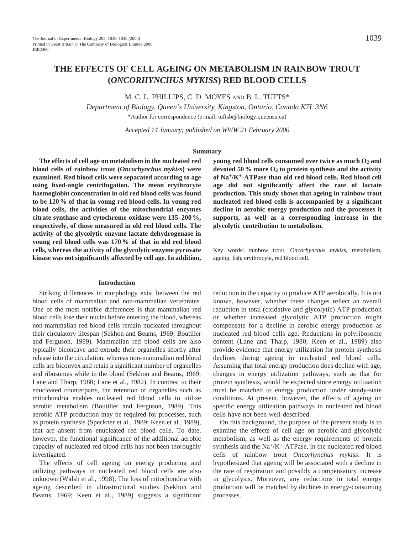# **THE EFFECTS OF CELL AGEING ON METABOLISM IN RAINBOW TROUT (***ONCORHYNCHUS MYKISS***) RED BLOOD CELLS**

M. C. L. PHILLIPS, C. D. MOYES AND B. L. TUFTS\*

*Department of Biology, Queen's University, Kingston, Ontario, Canada K7L 3N6* \*Author for correspondence (e-mail: tuftsb@biology.queensu.ca)

*Accepted 14 January; published on WWW 21 February 2000*

#### **Summary**

**The effects of cell age on metabolism in the nucleated red blood cells of rainbow trout (***Oncorhynchus mykiss***) were examined. Red blood cells were separated according to age using fixed-angle centrifugation. The mean erythrocyte haemoglobin concentration in old red blood cells was found to be 120 % of that in young red blood cells. In young red blood cells, the activities of the mitochondrial enzymes citrate synthase and cytochrome oxidase were 135–200 %, respectively, of those measured in old red blood cells. The activity of the glycolytic enzyme lactate dehydrogenase in young red blood cells was 170 % of that in old red blood cells, whereas the activity of the glycolytic enzyme pyruvate kinase was not significantly affected by cell age. In addition,**

#### **Introduction**

Striking differences in morphology exist between the red blood cells of mammalian and non-mammalian vertebrates. One of the most notable differences is that mammalian red blood cells lose their nuclei before entering the blood, whereas non-mammalian red blood cells remain nucleated throughout their circulatory lifespan (Sekhon and Beams, 1969; Boutilier and Ferguson, 1989). Mammalian red blood cells are also typically biconcave and extrude their organelles shortly after release into the circulation, whereas non-mammalian red blood cells are biconvex and retain a significant number of organelles and ribosomes while in the blood (Sekhon and Beams, 1969; Lane and Tharp, 1980; Lane et al., 1982). In contrast to their enucleated counterparts, the retention of organelles such as mitochondria enables nucleated red blood cells to utilize aerobic metabolism (Boutilier and Ferguson, 1989). This aerobic ATP production may be required for processes, such as protein synthesis (Speckner et al., 1989; Keen et al., 1989), that are absent from enucleated red blood cells. To date, however, the functional significance of the additional aerobic capacity of nucleated red blood cells has not been thoroughly investigated.

The effects of cell ageing on energy producing and utilizing pathways in nucleated red blood cells are also unknown (Walsh et al., 1998). The loss of mitochondria with ageing described in ultrastructural studies (Sekhon and Beams, 1969; Keen et al., 1989) suggests a significant

**young red blood cells consumed over twice as much O2 and devoted 50 % more O2 to protein synthesis and the activity of Na+/K+-ATPase than old red blood cells. Red blood cell age did not significantly affect the rate of lactate production. This study shows that ageing in rainbow trout nucleated red blood cells is accompanied by a significant decline in aerobic energy production and the processes it supports, as well as a corresponding increase in the glycolytic contribution to metabolism.**

Key words: rainbow trout, *Oncorhynchus mykiss*, metabolism, ageing, fish, erythrocyte, red blood cell.

reduction in the capacity to produce ATP aerobically. It is not known, however, whether these changes reflect an overall reduction in total (oxidative and glycolytic) ATP production or whether increased glycolytic ATP production might compensate for a decline in aerobic energy production as nucleated red blood cells age. Reductions in polyribosome content (Lane and Tharp, 1980; Keen et al., 1989) also provide evidence that energy utilization for protein synthesis declines during ageing in nucleated red blood cells. Assuming that total energy production does decline with age, changes in energy utilization pathways, such as that for protein synthesis, would be expected since energy utilization must be matched to energy production under steady-state conditions. At present, however, the effects of ageing on specific energy utilization pathways in nucleated red blood cells have not been well described.

On this background, the purpose of the present study is to examine the effects of cell age on aerobic and glycolytic metabolism, as well as the energy requirements of protein synthesis and the  $Na^+/K^+$ -ATPase, in the nucleated red blood cells of rainbow trout *Oncorhynchus mykiss*. It is hypothesized that ageing will be associated with a decline in the rate of respiration and possibly a compensatory increase in glycolysis. Moreover, any reductions in total energy production will be matched by declines in energy-consuming processes.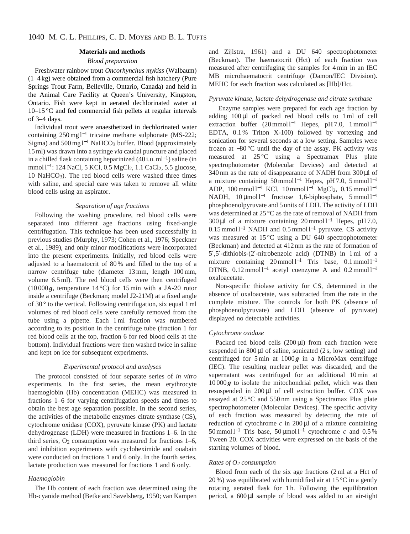#### **Materials and methods**

# *Blood preparation*

Freshwater rainbow trout *Oncorhynchus mykiss* (Walbaum) (1–4 kg) were obtained from a commercial fish hatchery (Pure Springs Trout Farm, Belleville, Ontario, Canada) and held in the Animal Care Facility at Queen's University, Kingston, Ontario. Fish were kept in aerated dechlorinated water at 10–15 °C and fed commercial fish pellets at regular intervals of 3–4 days.

Individual trout were anaesthetized in dechlorinated water containing 250 mg l−<sup>1</sup> tricaine methane sulphonate (MS-222; Sigma) and 500 mg  $l^{-1}$  NaHCO<sub>3</sub> buffer. Blood (approximately 15 ml) was drawn into a syringe *via* caudal puncture and placed in a chilled flask containing heparinized  $(40 i.u.m<sup>1</sup>)$  saline (in mmol l<sup>-1</sup>: 124 NaCl, 5 KCl, 0.5 MgCl<sub>2</sub>, 1.1 CaCl<sub>2</sub>, 5.5 glucose,  $10$  NaHCO<sub>3</sub>). The red blood cells were washed three times with saline, and special care was taken to remove all white blood cells using an aspirator.

#### *Separation of age fractions*

Following the washing procedure, red blood cells were separated into different age fractions using fixed-angle centrifugation. This technique has been used successfully in previous studies (Murphy, 1973; Cohen et al., 1976; Speckner et al., 1989), and only minor modifications were incorporated into the present experiments. Initially, red blood cells were adjusted to a haematocrit of 80 % and filled to the top of a narrow centrifuge tube (diameter 13 mm, length 100 mm, volume 6.5 ml). The red blood cells were then centrifuged (10000 $g$ , temperature 14 °C) for 15 min with a JA-20 rotor inside a centrifuge (Beckman; model J2-21M) at a fixed angle of  $30^{\circ}$  to the vertical. Following centrifugation, six equal 1 ml volumes of red blood cells were carefully removed from the tube using a pipette. Each 1 ml fraction was numbered according to its position in the centrifuge tube (fraction 1 for red blood cells at the top, fraction 6 for red blood cells at the bottom). Individual fractions were then washed twice in saline and kept on ice for subsequent experiments.

## *Experimental protocol and analyses*

The protocol consisted of four separate series of *in vitro* experiments. In the first series, the mean erythrocyte haemoglobin (Hb) concentration (MEHC) was measured in fractions 1–6 for varying centrifugation speeds and times to obtain the best age separation possible. In the second series, the activities of the metabolic enzymes citrate synthase (CS), cytochrome oxidase (COX), pyruvate kinase (PK) and lactate dehydrogenase (LDH) were measured in fractions 1–6. In the third series,  $O_2$  consumption was measured for fractions  $1-6$ , and inhibition experiments with cycloheximide and ouabain were conducted on fractions 1 and 6 only. In the fourth series, lactate production was measured for fractions 1 and 6 only.

### *Haemoglobin*

The Hb content of each fraction was determined using the Hb-cyanide method (Betke and Savelsberg, 1950; van Kampen and Zijlstra, 1961) and a DU 640 spectrophotometer (Beckman). The haematocrit (Hct) of each fraction was measured after centrifuging the samples for 4 min in an IEC MB microhaematocrit centrifuge (Damon/IEC Division). MEHC for each fraction was calculated as [Hb]/Hct.

## *Pyruvate kinase, lactate dehydrogenase and citrate synthase*

Enzyme samples were prepared for each age fraction by adding 100 µl of packed red blood cells to 1 ml of cell extraction buffer (20 mmol l<sup>-1</sup> Hepes, pH 7.0, 1 mmol l<sup>-1</sup> EDTA, 0.1 % Triton X-100) followed by vortexing and sonication for several seconds at a low setting. Samples were frozen at −80 °C until the day of the assay. PK activity was measured at 25 °C using a Spectramax Plus plate spectrophotometer (Molecular Devices) and detected at 340 nm as the rate of disappearance of NADH from 300 µl of a mixture containing 50 mmol l<sup>-1</sup> Hepes, pH 7.0, 5 mmol l<sup>-1</sup> ADP,  $100 \text{ mmol } 1^{-1}$  KCl,  $10 \text{ mmol } 1^{-1}$  MgCl<sub>2</sub>,  $0.15 \text{ mmol } 1^{-1}$ NADH, 10 μmol l<sup>-1</sup> fructose 1,6-biphosphate, 5 mmol l<sup>-1</sup> phosphoenolpyruvate and 5 units of LDH. The activity of LDH was determined at 25 °C as the rate of removal of NADH from 300 µl of a mixture containing 20 mmol l−<sup>1</sup> Hepes, pH 7.0, 0.15 mmol l−<sup>1</sup> NADH and 0.5 mmol l−<sup>1</sup> pyruvate. CS activity was measured at 15 °C using a DU 640 spectrophotometer (Beckman) and detected at 412 nm as the rate of formation of 5′,5′-dithiobis-(2′-nitrobenzoic acid) (DTNB) in 1 ml of a mixture containing  $20 \text{ mmol } 1^{-1}$  Tris base,  $0.1 \text{ mmol } 1^{-1}$ DTNB,  $0.12$  mmol l<sup>-1</sup> acetyl coenzyme A and  $0.2$  mmol l<sup>-1</sup> oxaloacetate.

Non-specific thiolase activity for CS, determined in the absence of oxaloacetate, was subtracted from the rate in the complete mixture. The controls for both PK (absence of phosphoenolpyruvate) and LDH (absence of pyruvate) displayed no detectable activities.

### *Cytochrome oxidase*

Packed red blood cells  $(200 \,\mu\text{I})$  from each fraction were suspended in  $800 \mu l$  of saline, sonicated  $(2 s, low setting)$  and centrifuged for  $5 \text{ min}$  at  $1000 g$  in a MicroMax centrifuge (IEC). The resulting nuclear pellet was discarded, and the supernatant was centrifuged for an additional 10 min at  $10000g$  to isolate the mitochondrial pellet, which was then resuspended in 200 µl of cell extraction buffer. COX was assayed at 25 °C and 550 nm using a Spectramax Plus plate spectrophotometer (Molecular Devices). The specific activity of each fraction was measured by detecting the rate of reduction of cytochrome  $c$  in 200  $\mu$ l of a mixture containing 50 mmol l−<sup>1</sup> Tris base, 50 µmol l−<sup>1</sup> cytochrome *c* and 0.5 % Tween 20. COX activities were expressed on the basis of the starting volumes of blood.

## *Rates of O2 consumption*

Blood from each of the six age fractions (2 ml at a Hct of 20 %) was equilibrated with humidified air at  $15^{\circ}$ C in a gently rotating aerated flask for 1 h. Following the equilibration period, a 600 µl sample of blood was added to an air-tight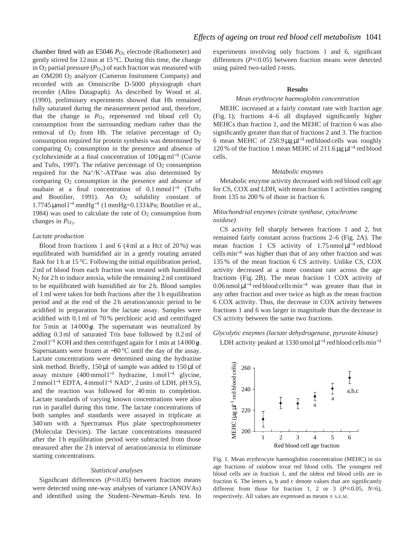chamber fitted with an E5046 *P*<sub>O2</sub> electrode (Radiometer) and gently stirred for 12 min at 15 °C. During this time, the change in  $O_2$  partial pressure ( $P_{O_2}$ ) of each fraction was measured with an OM200 O2 analyzer (Cameron Instrument Company) and recorded with an Omniscribe D-5000 physiograph chart recorder (Allen Datagraph). As described by Wood et al. (1990), preliminary experiments showed that Hb remained fully saturated during the measurement period and, therefore, that the change in  $P_{\text{O}_2}$  represented red blood cell  $\text{O}_2$ consumption from the surrounding medium rather than the removal of  $O_2$  from Hb. The relative percentage of  $O_2$ consumption required for protein synthesis was determined by comparing  $O_2$  consumption in the presence and absence of cycloheximide at a final concentration of  $100 \mu g$  ml<sup>-1</sup> (Currie and Tufts, 1997). The relative percentage of  $O<sub>2</sub>$  consumption required for the Na+/K+-ATPase was also determined by comparing  $O_2$  consumption in the presence and absence of ouabain at a final concentration of 0.1 mmol l<sup>−1</sup> (Tufts and Boutilier, 1991). An  $O_2$  solubility constant of 1.7745 µmol l<sup>−</sup>1mmHg−<sup>1</sup> (1 mmHg=0.133 kPa; Boutilier et al., 1984) was used to calculate the rate of  $O<sub>2</sub>$  consumption from changes in  $P_{\text{O}_2}$ .

## *Lactate production*

Blood from fractions 1 and 6 (4 ml at a Hct of 20 %) was equilibrated with humidified air in a gently rotating aerated flask for 1 h at 15 °C. Following the initial equilibration period, 2 ml of blood from each fraction was treated with humidified N2 for 2 h to induce anoxia, while the remaining 2 ml continued to be equilibrated with humidified air for 2 h. Blood samples of 1 ml were taken for both fractions after the 1 h equilibration period and at the end of the 2 h aeration/anoxic period to be acidified in preparation for the lactate assay. Samples were acidified with 0.1 ml of 70 % perchloric acid and centrifuged for  $5 \text{ min}$  at  $14000 g$ . The supernatant was neutralized by adding 0.3 ml of saturated Tris base followed by 0.2 ml of 2 mol l−<sup>1</sup> KOH and then centrifuged again for 1 min at 14 000 *g*. Supernatants were frozen at −80 °C until the day of the assay. Lactate concentrations were determined using the hydrazine sink method. Briefly, 150 µl of sample was added to 150 µl of assay mixture (400 mmol l−<sup>1</sup> hydrazine, 1 mol l−<sup>1</sup> glycine,  $2 \text{ mmol } 1^{-1}$  EDTA, 4 mmol  $1^{-1}$  NAD<sup>+</sup>, 2 units of LDH, pH 9.5), and the reaction was followed for 40 min to completion. Lactate standards of varying known concentrations were also run in parallel during this time. The lactate concentrations of both samples and standards were assayed in triplicate at 340 nm with a Spectramax Plus plate spectrophotometer (Molecular Devices). The lactate concentrations measured after the 1 h equilibration period were subtracted from those measured after the 2 h interval of aeration/anoxia to eliminate starting concentrations.

## *Statistical analyses*

Significant differences  $(P \le 0.05)$  between fraction means were detected using one-way analyses of variance (ANOVAs) and identified using the Student–Newman–Keuls test. In experiments involving only fractions 1 and 6, significant differences ( $P \le 0.05$ ) between fraction means were detected using paired two-tailed *t*-tests.

#### **Results**

#### *Mean erythrocyte haemoglobin concentration*

MEHC increased at a fairly constant rate with fraction age (Fig. 1); fractions 4–6 all displayed significantly higher MEHCs than fraction 1, and the MEHC of fraction 6 was also significantly greater than that of fractions 2 and 3. The fraction 6 mean MEHC of  $250.9 \,\mu g \,\mu l^{-1}$  red blood cells was roughly 120 % of the fraction 1 mean MEHC of 211.6  $\mu$ g  $\mu$ l<sup>-1</sup> red blood cells.

#### *Metabolic enzymes*

Metabolic enzyme activity decreased with red blood cell age for CS, COX and LDH, with mean fraction 1 activities ranging from 135 to 200 % of those in fraction 6.

# *Mitochondrial enzymes (citrate synthase, cytochrome oxidase)*

CS activity fell sharply between fractions 1 and 2, but remained fairly constant across fractions 2–6 (Fig. 2A). The mean fraction 1 CS activity of  $1.75 \text{ nmol }\mu l^{-1}$  red blood cells min−<sup>1</sup> was higher than that of any other fraction and was 135 % of the mean fraction 6 CS activity. Unlike CS, COX activity decreased at a more constant rate across the age fractions (Fig. 2B). The mean fraction 1 COX activity of  $0.06$  nmol  $\mu$ l<sup>-1</sup> red blood cells min<sup>-1</sup> was greater than that in any other fraction and over twice as high as the mean fraction 6 COX activity. Thus, the decrease in COX activity between fractions 1 and 6 was larger in magnitude than the decrease in CS activity between the same two fractions.

### *Glycolytic enzymes (lactate dehydrogenase, pyruvate kinase)*

LDH activity peaked at 1330 nmol  $\mu$ l<sup>-1</sup> red blood cells min<sup>-1</sup>



Fig. 1. Mean erythrocyte haemoglobin concentration (MEHC) in six age fractions of rainbow trout red blood cells. The youngest red blood cells are in fraction 1, and the oldest red blood cells are in fraction 6. The letters a, b and c denote values that are significantly different from those for fraction 1, 2 or 3 ( $P \le 0.05$ ,  $N=6$ ), respectively. All values are expressed as means  $\pm$  s.E.M.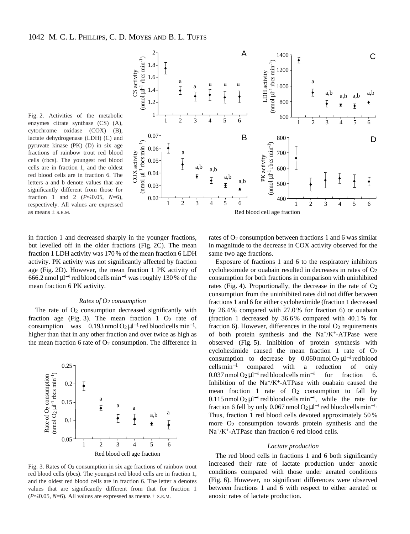Fig. 2. Activities of the metabolic enzymes citrate synthase (CS) (A), cytochrome oxidase (COX) (B), lactate dehydrogenase (LDH) (C) and pyruvate kinase (PK) (D) in six age fractions of rainbow trout red blood cells (rbcs). The youngest red blood cells are in fraction 1, and the oldest red blood cells are in fraction 6. The letters a and b denote values that are significantly different from those for fraction 1 and 2 ( $P \le 0.05$ ,  $N=6$ ), respectively. All values are expressed as means  $\pm$  S.E.M.



in fraction 1 and decreased sharply in the younger fractions, but levelled off in the older fractions (Fig. 2C). The mean fraction 1 LDH activity was 170 % of the mean fraction 6 LDH activity. PK activity was not significantly affected by fraction age (Fig. 2D). However, the mean fraction 1 PK activity of 666.2 nmol  $\mu$ l<sup>-1</sup> red blood cells min<sup>-1</sup> was roughly 130 % of the mean fraction 6 PK activity.

## *Rates of O2 consumption*

The rate of  $O_2$  consumption decreased significantly with fraction age (Fig. 3). The mean fraction  $1\text{ O}_2$  rate of consumption was  $0.193$  nmol  $O_2 \mu l^{-1}$  red blood cells min<sup>-1</sup>, higher than that in any other fraction and over twice as high as the mean fraction 6 rate of  $O<sub>2</sub>$  consumption. The difference in



Fig. 3. Rates of  $O_2$  consumption in six age fractions of rainbow trout red blood cells (rbcs). The youngest red blood cells are in fraction 1, and the oldest red blood cells are in fraction 6. The letter a denotes values that are significantly different from that for fraction 1  $(P \le 0.05, N=6)$ . All values are expressed as means  $\pm$  s.e.m.

rates of  $O_2$  consumption between fractions 1 and 6 was similar in magnitude to the decrease in COX activity observed for the same two age fractions.

Exposure of fractions 1 and 6 to the respiratory inhibitors cycloheximide or ouabain resulted in decreases in rates of  $O<sub>2</sub>$ consumption for both fractions in comparison with uninhibited rates (Fig. 4). Proportionally, the decrease in the rate of  $O<sub>2</sub>$ consumption from the uninhibited rates did not differ between fractions 1 and 6 for either cycloheximide (fraction 1 decreased by 26.4 % compared with 27.0 % for fraction 6) or ouabain (fraction 1 decreased by 36.6 % compared with 40.1 % for fraction 6). However, differences in the total  $O<sub>2</sub>$  requirements of both protein synthesis and the  $Na^+/K^+$ -ATPase were observed (Fig. 5). Inhibition of protein synthesis with cycloheximide caused the mean fraction 1 rate of  $O_2$ consumption to decrease by  $0.060$  nmol  $O_2 \mu l^{-1}$  red blood cells min−<sup>1</sup> compared with a reduction of only  $0.037$  nmol  $O_2 \mu l^{-1}$  red blood cells min<sup>-1</sup> for fraction 6. Inhibition of the  $Na^{+}/K^{+}$ -ATPase with ouabain caused the mean fraction 1 rate of  $O_2$  consumption to fall by  $0.115$  nmol  $O_2 \mu l^{-1}$  red blood cells min<sup>-1</sup>, while the rate for fraction 6 fell by only 0.067 nmol O2  $\mu$ l<sup>-1</sup> red blood cells min<sup>-1.</sup> Thus, fraction 1 red blood cells devoted approximately 50 % more  $O_2$  consumption towards protein synthesis and the Na+/K+-ATPase than fraction 6 red blood cells.

#### *Lactate production*

The red blood cells in fractions 1 and 6 both significantly increased their rate of lactate production under anoxic conditions compared with those under aerated conditions (Fig. 6). However, no significant differences were observed between fractions 1 and 6 with respect to either aerated or anoxic rates of lactate production.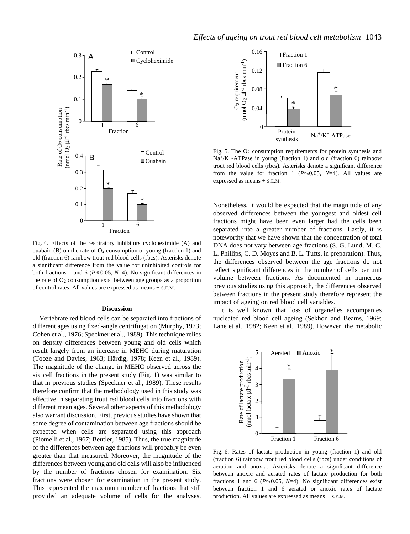

Fig. 4. Effects of the respiratory inhibitors cycloheximide (A) and ouabain (B) on the rate of  $O_2$  consumption of young (fraction 1) and old (fraction 6) rainbow trout red blood cells (rbcs). Asterisks denote a significant difference from the value for uninhibited controls for both fractions 1 and 6 ( $P \le 0.05$ ,  $N=4$ ). No significant differences in the rate of  $O_2$  consumption exist between age groups as a proportion of control rates. All values are expressed as means + S.E.M.

#### **Discussion**

Vertebrate red blood cells can be separated into fractions of different ages using fixed-angle centrifugation (Murphy, 1973; Cohen et al., 1976; Speckner et al., 1989). This technique relies on density differences between young and old cells which result largely from an increase in MEHC during maturation (Tooze and Davies, 1963; Härdig, 1978; Keen et al., 1989). The magnitude of the change in MEHC observed across the six cell fractions in the present study (Fig. 1) was similar to that in previous studies (Speckner et al., 1989). These results therefore confirm that the methodology used in this study was effective in separating trout red blood cells into fractions with different mean ages. Several other aspects of this methodology also warrant discussion. First, previous studies have shown that some degree of contamination between age fractions should be expected when cells are separated using this approach (Piomelli et al., 1967; Beutler, 1985). Thus, the true magnitude of the differences between age fractions will probably be even greater than that measured. Moreover, the magnitude of the differences between young and old cells will also be influenced by the number of fractions chosen for examination. Six fractions were chosen for examination in the present study. This represented the maximum number of fractions that still provided an adequate volume of cells for the analyses.



Fig. 5. The  $O<sub>2</sub>$  consumption requirements for protein synthesis and  $Na^{+}/K^{+}$ -ATPase in young (fraction 1) and old (fraction 6) rainbow trout red blood cells (rbcs). Asterisks denote a significant difference from the value for fraction 1 ( $P \le 0.05$ ,  $N=4$ ). All values are expressed as means + S.E.M.

Nonetheless, it would be expected that the magnitude of any observed differences between the youngest and oldest cell fractions might have been even larger had the cells been separated into a greater number of fractions. Lastly, it is noteworthy that we have shown that the concentration of total DNA does not vary between age fractions (S. G. Lund, M. C. L. Phillips, C. D. Moyes and B. L. Tufts, in preparation). Thus, the differences observed between the age fractions do not reflect significant differences in the number of cells per unit volume between fractions. As documented in numerous previous studies using this approach, the differences observed between fractions in the present study therefore represent the impact of ageing on red blood cell variables.

It is well known that loss of organelles accompanies nucleated red blood cell ageing (Sekhon and Beams, 1969; Lane et al., 1982; Keen et al., 1989). However, the metabolic



Fig. 6. Rates of lactate production in young (fraction 1) and old (fraction 6) rainbow trout red blood cells (rbcs) under conditions of aeration and anoxia. Asterisks denote a significant difference between anoxic and aerated rates of lactate production for both fractions 1 and 6 ( $P \le 0.05$ ,  $N=4$ ). No significant differences exist between fraction 1 and 6 aerated or anoxic rates of lactate production. All values are expressed as means + S.E.M.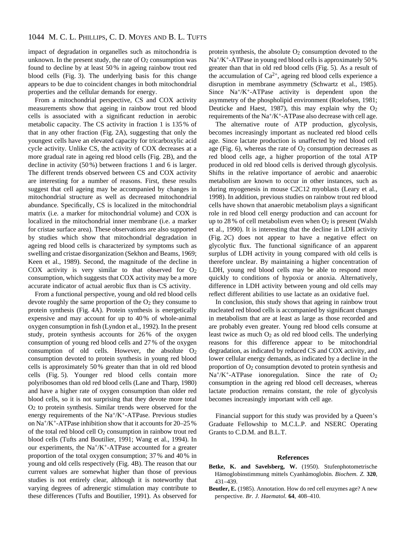impact of degradation in organelles such as mitochondria is unknown. In the present study, the rate of  $O<sub>2</sub>$  consumption was found to decline by at least 50 % in ageing rainbow trout red blood cells (Fig. 3). The underlying basis for this change appears to be due to coincident changes in both mitochondrial properties and the cellular demands for energy.

From a mitochondrial perspective, CS and COX activity measurements show that ageing in rainbow trout red blood cells is associated with a significant reduction in aerobic metabolic capacity. The CS activity in fraction 1 is 135 % of that in any other fraction (Fig. 2A), suggesting that only the youngest cells have an elevated capacity for tricarboxylic acid cycle activity. Unlike CS, the activity of COX decreases at a more gradual rate in ageing red blood cells (Fig. 2B), and the decline in activity (50 %) between fractions 1 and 6 is larger. The different trends observed between CS and COX activity are interesting for a number of reasons. First, these results suggest that cell ageing may be accompanied by changes in mitochondrial structure as well as decreased mitochondrial abundance. Specifically, CS is localized in the mitochondrial matrix (i.e. a marker for mitochondrial volume) and COX is localized in the mitochondrial inner membrane (i.e. a marker for cristae surface area). These observations are also supported by studies which show that mitochondrial degradation in ageing red blood cells is characterized by symptoms such as swelling and cristae disorganization (Sekhon and Beams, 1969; Keen et al., 1989). Second, the magnitude of the decline in COX activity is very similar to that observed for  $O<sub>2</sub>$ consumption, which suggests that COX activity may be a more accurate indicator of actual aerobic flux than is CS activity.

From a functional perspective, young and old red blood cells devote roughly the same proportion of the  $O<sub>2</sub>$  they consume to protein synthesis (Fig. 4A). Protein synthesis is energetically expensive and may account for up to 40 % of whole-animal oxygen consumption in fish (Lyndon et al., 1992). In the present study, protein synthesis accounts for 26 % of the oxygen consumption of young red blood cells and 27 % of the oxygen consumption of old cells. However, the absolute  $O<sub>2</sub>$ consumption devoted to protein synthesis in young red blood cells is approximately 50 % greater than that in old red blood cells (Fig. 5). Younger red blood cells contain more polyribosomes than old red blood cells (Lane and Tharp, 1980) and have a higher rate of oxygen consumption than older red blood cells, so it is not surprising that they devote more total O2 to protein synthesis. Similar trends were observed for the energy requirements of the  $Na^{+}/K^{+}$ -ATPase. Previous studies on Na+/K+-ATPase inhibition show that it accounts for 20–25 % of the total red blood cell O2 consumption in rainbow trout red blood cells (Tufts and Boutilier, 1991; Wang et al., 1994). In our experiments, the  $Na^{+}/K^{+}$ -ATPase accounted for a greater proportion of the total oxygen consumption; 37 % and 40 % in young and old cells respectively (Fig. 4B). The reason that our current values are somewhat higher than those of previous studies is not entirely clear, although it is noteworthy that varying degrees of adrenergic stimulation may contribute to these differences (Tufts and Boutilier, 1991). As observed for

protein synthesis, the absolute  $O<sub>2</sub>$  consumption devoted to the Na+/K+-ATPase in young red blood cells is approximately 50 % greater than that in old red blood cells (Fig. 5). As a result of the accumulation of  $Ca^{2+}$ , ageing red blood cells experience a disruption in membrane asymmetry (Schwartz et al., 1985). Since Na+/K+-ATPase activity is dependent upon the asymmetry of the phospholipid environment (Roelofsen, 1981; Deuticke and Haest, 1987), this may explain why the  $O_2$ requirements of the Na+/K+-ATPase also decrease with cell age.

The alternative route of ATP production, glycolysis, becomes increasingly important as nucleated red blood cells age. Since lactate production is unaffected by red blood cell age (Fig. 6), whereas the rate of  $O<sub>2</sub>$  consumption decreases as red blood cells age, a higher proportion of the total ATP produced in old red blood cells is derived through glycolysis. Shifts in the relative importance of aerobic and anaerobic metabolism are known to occur in other instances, such as during myogenesis in mouse C2C12 myoblasts (Leary et al., 1998). In addition, previous studies on rainbow trout red blood cells have shown that anaerobic metabolism plays a significant role in red blood cell energy production and can account for up to 28 % of cell metabolism even when  $O_2$  is present (Walsh et al., 1990). It is interesting that the decline in LDH activity (Fig. 2C) does not appear to have a negative effect on glycolytic flux. The functional significance of an apparent surplus of LDH activity in young compared with old cells is therefore unclear. By maintaining a higher concentration of LDH, young red blood cells may be able to respond more quickly to conditions of hypoxia or anoxia. Alternatively, difference in LDH activity between young and old cells may reflect different abilities to use lactate as an oxidative fuel.

In conclusion, this study shows that ageing in rainbow trout nucleated red blood cells is accompanied by significant changes in metabolism that are at least as large as those recorded and are probably even greater. Young red blood cells consume at least twice as much  $O_2$  as old red blood cells. The underlying reasons for this difference appear to be mitochondrial degradation, as indicated by reduced CS and COX activity, and lower cellular energy demands, as indicated by a decline in the proportion of O2 consumption devoted to protein synthesis and  $Na^{+}/K^{+}$ -ATPase ionoregulation. Since the rate of O<sub>2</sub> consumption in the ageing red blood cell decreases, whereas lactate production remains constant, the role of glycolysis becomes increasingly important with cell age.

Financial support for this study was provided by a Queen's Graduate Fellowship to M.C.L.P. and NSERC Operating Grants to C.D.M. and B.L.T.

## **References**

- **Betke, K. and Savelsberg, W.** (1950). Stufenphotometrische Hämoglobinstimmung mittels Cyanhämoglobin. *Biochem. Z.* **320**, 431–439.
- **Beutler, E.** (1985). Annotation. How do red cell enzymes age? A new perspective. *Br. J. Haematol.* **64**, 408–410.